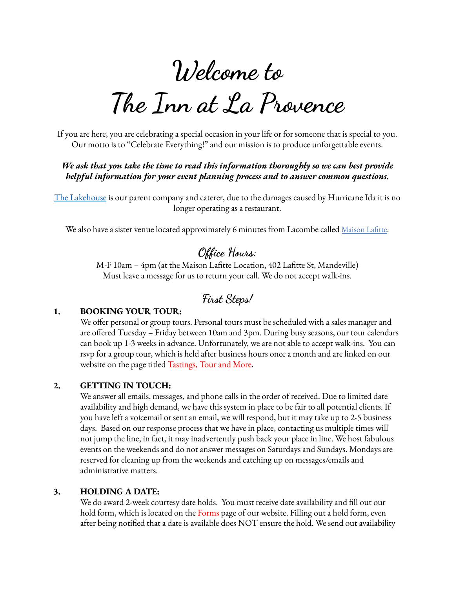# **Welcome to**

## **The Inn at La Provence**

If you are here, you are celebrating a special occasion in your life or for someone that is special to you. Our motto is to "Celebrate Everything!" and our mission is to produce unforgettable events.

#### *We ask that you take the time to read this information thoroughly so we can best provide helpful information for your event planning process and to answer common questions.*

The [Lakehouse](https://www.lakehousecuisine.com/catering-special-events) is our parent company and caterer, due to the damages caused by Hurricane Ida it is no longer operating as a restaurant.

We also have a sister venue located approximately 6 minutes from Lacombe called Maison Lafitte.

## **Office Hours:**

M-F 10am – 4pm (at the Maison Lafitte Location, 402 Lafitte St, Mandeville) Must leave a message for us to return your call. We do not accept walk-ins.

## **First Steps!**

#### **1. BOOKING YOUR TOUR:**

We offer personal or group tours. Personal tours must be scheduled with a sales manager and are offered Tuesday – Friday between 10am and 3pm. During busy seasons, our tour calendars can book up 1-3 weeks in advance. Unfortunately, we are not able to accept walk-ins. You can rsvp for a group tour, which is held after business hours once a month and are linked on our website on the page titled Tastings, Tour and More.

#### **2. GETTING IN TOUCH:**

We answer all emails, messages, and phone calls in the order of received. Due to limited date availability and high demand, we have this system in place to be fair to all potential clients. If you have left a voicemail or sent an email, we will respond, but it may take up to 2-5 business days. Based on our response process that we have in place, contacting us multiple times will not jump the line, in fact, it may inadvertently push back your place in line. We host fabulous events on the weekends and do not answer messages on Saturdays and Sundays. Mondays are reserved for cleaning up from the weekends and catching up on messages/emails and administrative matters.

#### **3. HOLDING A DATE:**

We do award 2-week courtesy date holds. You must receive date availability and fill out our hold form, which is located on the Forms page of our website. Filling out a hold form, even after being notified that a date is available does NOT ensure the hold. We send out availability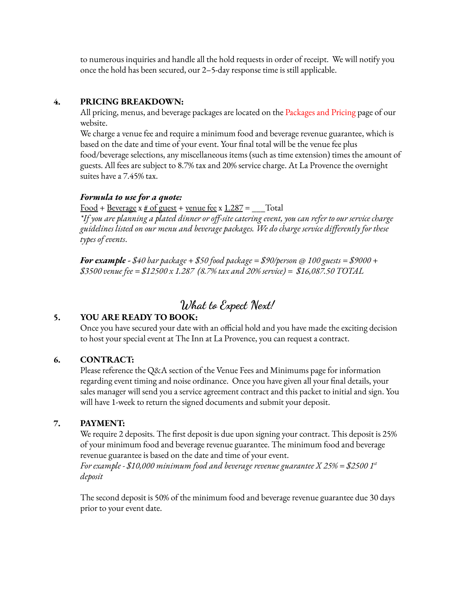to numerous inquiries and handle all the hold requests in order of receipt. We will notify you once the hold has been secured, our 2–5-day response time is still applicable.

#### **4. PRICING BREAKDOWN:**

All pricing, menus, and beverage packages are located on the Packages and Pricing page of our website.

We charge a venue fee and require a minimum food and beverage revenue guarantee, which is based on the date and time of your event. Your final total will be the venue fee plus food/beverage selections, any miscellaneous items (such as time extension) times the amount of guests. All fees are subject to 8.7% tax and 20% service charge. At La Provence the overnight suites have a 7.45% tax.

#### *Formula to use for a quote:*

 $Food + Reverse x # of guest + venue fee x 1.287 = __ Total$ </u>

\*If you are planning a plated dinner or off-site catering event, you can refer to our service charge *guidelines listed on our menu and beverage packages. We do charge service differently for these types of events*.

*For example - \$40 bar package + \$50 food package = \$90/person @ 100 guests = \$9000 + \$3500 venue fee = \$12500 x 1.287 (8.7% tax and 20% service) = \$16,087.50 TOTAL*

### **What to Expect Next!**

#### **5. YOU ARE READY TO BOOK:**

Once you have secured your date with an official hold and you have made the exciting decision to host your special event at The Inn at La Provence, you can request a contract.

#### **6. CONTRACT:**

Please reference the Q&A section of the Venue Fees and Minimums page for information regarding event timing and noise ordinance. Once you have given all your final details, your sales manager will send you a service agreement contract and this packet to initial and sign. You will have 1-week to return the signed documents and submit your deposit.

#### **7. PAYMENT:**

We require 2 deposits. The first deposit is due upon signing your contract. This deposit is 25% of your minimum food and beverage revenue guarantee. The minimum food and beverage revenue guarantee is based on the date and time of your event.

*For example - \$10,000 minimum food and beverage revenue guarantee X 25% = \$2500 1 st deposit*

The second deposit is 50% of the minimum food and beverage revenue guarantee due 30 days prior to your event date.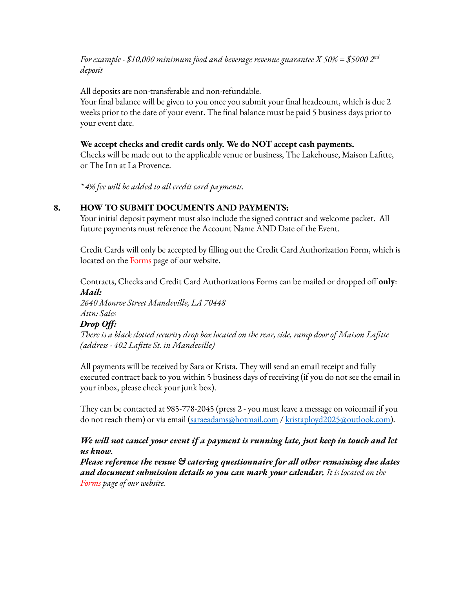*For example - \$10,000 minimum food and beverage revenue guarantee X 50% = \$5000 2 nd deposit*

All deposits are non-transferable and non-refundable.

Your final balance will be given to you once you submit your final headcount, which is due 2 weeks prior to the date of your event. The final balance must be paid 5 business days prior to your event date.

#### **We accept checks and credit cards only. We do NOT accept cash payments.**

Checks will be made out to the applicable venue or business, The Lakehouse, Maison Lafitte, or The Inn at La Provence.

*\* 4% fee will be added to all credit card payments.*

#### **8. HOW TO SUBMIT DOCUMENTS AND PAYMENTS:**

Your initial deposit payment must also include the signed contract and welcome packet. All future payments must reference the Account Name AND Date of the Event.

Credit Cards will only be accepted by filling out the Credit Card Authorization Form, which is located on the Forms page of our website.

Contracts, Checks and Credit Card Authorizations Forms can be mailed or dropped off **only**: *Mail:*

*2640 Monroe Street Mandeville, LA 70448 Attn: Sales*

#### *Drop Off:*

*There is a black slotted security drop box located on the rear, side, ramp door of Maison Lafitte (address - 402 Lafitte St. in Mandeville)*

All payments will be received by Sara or Krista. They will send an email receipt and fully executed contract back to you within 5 business days of receiving (if you do not see the email in your inbox, please check your junk box).

They can be contacted at 985-778-2045 (press 2 - you must leave a message on voicemail if you do not reach them) or via email [\(saraeadams@hotmail.com](mailto:saraeadams@outlook.com) / [kristaployd2025@outlook.com\)](mailto:kristaployd2025@outlook.com).

#### *We will not cancel your event if a payment is running late, just keep in touch and let us know.*

*Please reference the venue & catering questionnaire for all other remaining due dates and document submission details so you can mark your calendar. It is located on the Forms page of our website.*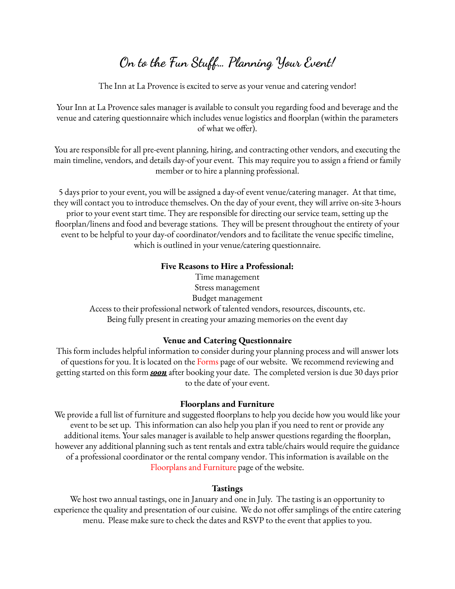## **On to the Fun Stuff… Planning Your Event!**

The Inn at La Provence is excited to serve as your venue and catering vendor!

Your Inn at La Provence sales manager is available to consult you regarding food and beverage and the venue and catering questionnaire which includes venue logistics and floorplan (within the parameters of what we offer).

You are responsible for all pre-event planning, hiring, and contracting other vendors, and executing the main timeline, vendors, and details day-of your event. This may require you to assign a friend or family member or to hire a planning professional.

5 days prior to your event, you will be assigned a day-of event venue/catering manager. At that time, they will contact you to introduce themselves. On the day of your event, they will arrive on-site 3-hours prior to your event start time. They are responsible for directing our service team, setting up the floorplan/linens and food and beverage stations. They will be present throughout the entirety of your event to be helpful to your day-of coordinator/vendors and to facilitate the venue specific timeline, which is outlined in your venue/catering questionnaire.

#### **Five Reasons to Hire a Professional:**

Time management Stress management Budget management Access to their professional network of talented vendors, resources, discounts, etc. Being fully present in creating your amazing memories on the event day

#### **Venue and Catering Questionnaire**

This form includes helpful information to consider during your planning process and will answer lots of questions for you. It is located on the Forms page of our website. We recommend reviewing and getting started on this form *soon* after booking your date. The completed version is due 30 days prior to the date of your event.

#### **Floorplans and Furniture**

We provide a full list of furniture and suggested floorplans to help you decide how you would like your event to be set up. This information can also help you plan if you need to rent or provide any additional items. Your sales manager is available to help answer questions regarding the floorplan, however any additional planning such as tent rentals and extra table/chairs would require the guidance of a professional coordinator or the rental company vendor. This information is available on the Floorplans and Furniture page of the website.

#### **Tastings**

We host two annual tastings, one in January and one in July. The tasting is an opportunity to experience the quality and presentation of our cuisine. We do not offer samplings of the entire catering menu. Please make sure to check the dates and RSVP to the event that applies to you.